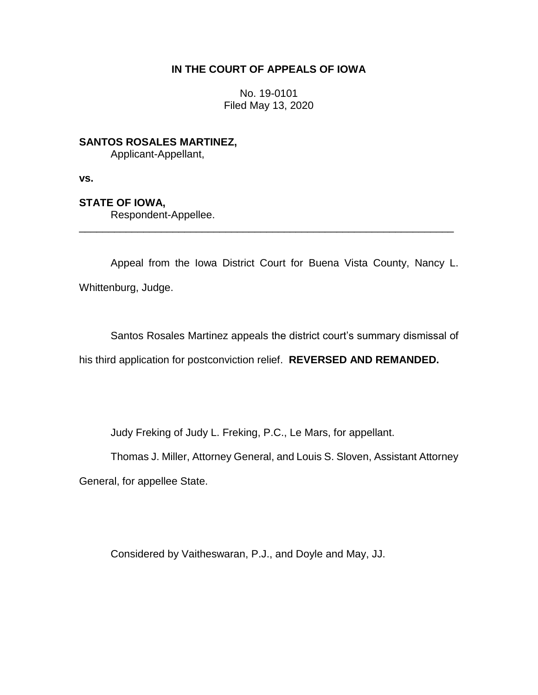## **IN THE COURT OF APPEALS OF IOWA**

No. 19-0101 Filed May 13, 2020

**SANTOS ROSALES MARTINEZ,**

Applicant-Appellant,

**vs.**

## **STATE OF IOWA,**

Respondent-Appellee.

Appeal from the Iowa District Court for Buena Vista County, Nancy L. Whittenburg, Judge.

\_\_\_\_\_\_\_\_\_\_\_\_\_\_\_\_\_\_\_\_\_\_\_\_\_\_\_\_\_\_\_\_\_\_\_\_\_\_\_\_\_\_\_\_\_\_\_\_\_\_\_\_\_\_\_\_\_\_\_\_\_\_\_\_

Santos Rosales Martinez appeals the district court's summary dismissal of his third application for postconviction relief. **REVERSED AND REMANDED.**

Judy Freking of Judy L. Freking, P.C., Le Mars, for appellant.

Thomas J. Miller, Attorney General, and Louis S. Sloven, Assistant Attorney

General, for appellee State.

Considered by Vaitheswaran, P.J., and Doyle and May, JJ.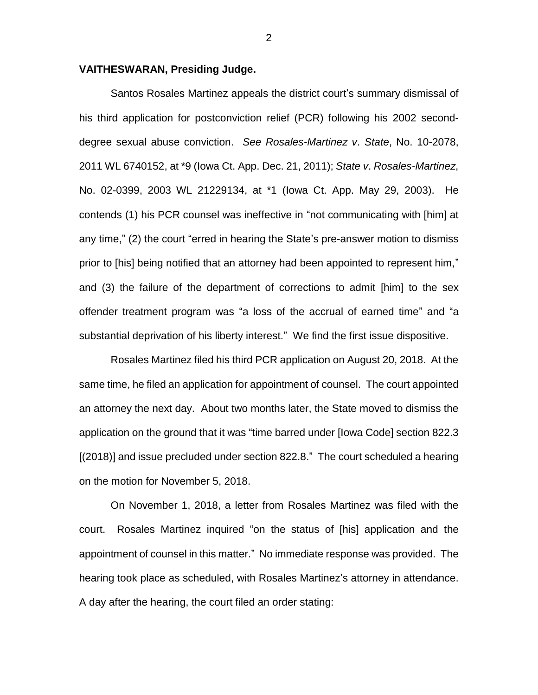#### **VAITHESWARAN, Presiding Judge.**

Santos Rosales Martinez appeals the district court's summary dismissal of his third application for postconviction relief (PCR) following his 2002 seconddegree sexual abuse conviction. *See Rosales-Martinez v*. *State*, No. 10-2078, 2011 WL 6740152, at \*9 (Iowa Ct. App. Dec. 21, 2011); *State v*. *Rosales-Martinez*, No. 02-0399, 2003 WL 21229134, at \*1 (Iowa Ct. App. May 29, 2003). He contends (1) his PCR counsel was ineffective in "not communicating with [him] at any time," (2) the court "erred in hearing the State's pre-answer motion to dismiss prior to [his] being notified that an attorney had been appointed to represent him," and (3) the failure of the department of corrections to admit [him] to the sex offender treatment program was "a loss of the accrual of earned time" and "a substantial deprivation of his liberty interest." We find the first issue dispositive.

Rosales Martinez filed his third PCR application on August 20, 2018. At the same time, he filed an application for appointment of counsel. The court appointed an attorney the next day. About two months later, the State moved to dismiss the application on the ground that it was "time barred under [Iowa Code] section 822.3 [(2018)] and issue precluded under section 822.8." The court scheduled a hearing on the motion for November 5, 2018.

On November 1, 2018, a letter from Rosales Martinez was filed with the court. Rosales Martinez inquired "on the status of [his] application and the appointment of counsel in this matter." No immediate response was provided. The hearing took place as scheduled, with Rosales Martinez's attorney in attendance. A day after the hearing, the court filed an order stating: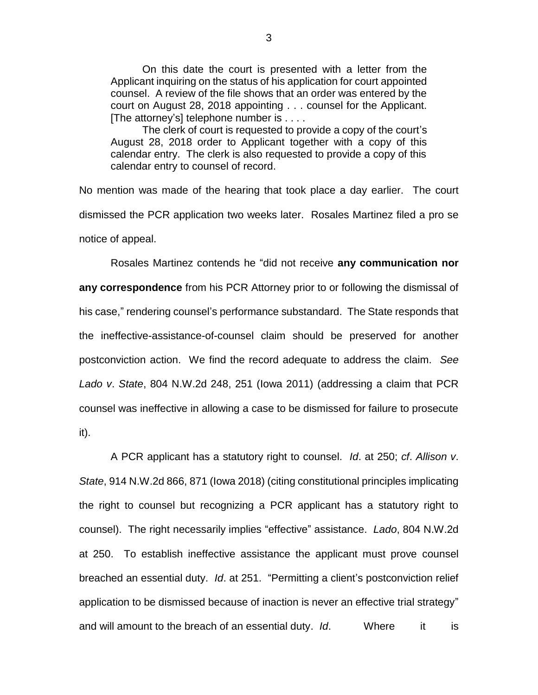On this date the court is presented with a letter from the Applicant inquiring on the status of his application for court appointed counsel. A review of the file shows that an order was entered by the court on August 28, 2018 appointing . . . counsel for the Applicant. [The attorney's] telephone number is . . . .

The clerk of court is requested to provide a copy of the court's August 28, 2018 order to Applicant together with a copy of this calendar entry. The clerk is also requested to provide a copy of this calendar entry to counsel of record.

No mention was made of the hearing that took place a day earlier. The court dismissed the PCR application two weeks later. Rosales Martinez filed a pro se notice of appeal.

Rosales Martinez contends he "did not receive **any communication nor any correspondence** from his PCR Attorney prior to or following the dismissal of his case," rendering counsel's performance substandard. The State responds that the ineffective-assistance-of-counsel claim should be preserved for another postconviction action. We find the record adequate to address the claim. *See Lado v*. *State*, 804 N.W.2d 248, 251 (Iowa 2011) (addressing a claim that PCR counsel was ineffective in allowing a case to be dismissed for failure to prosecute it).

A PCR applicant has a statutory right to counsel. *Id*. at 250; *cf*. *Allison v*. *State*, 914 N.W.2d 866, 871 (Iowa 2018) (citing constitutional principles implicating the right to counsel but recognizing a PCR applicant has a statutory right to counsel). The right necessarily implies "effective" assistance. *Lado*, 804 N.W.2d at 250.To establish ineffective assistance the applicant must prove counsel breached an essential duty. *Id*. at 251. "Permitting a client's postconviction relief application to be dismissed because of inaction is never an effective trial strategy" and will amount to the breach of an essential duty. *Id*. Where it is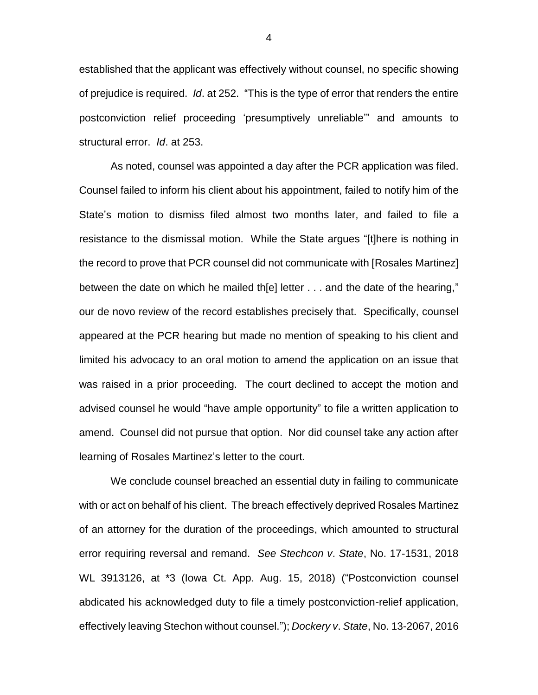established that the applicant was effectively without counsel, no specific showing of prejudice is required. *Id*. at 252. "This is the type of error that renders the entire postconviction relief proceeding 'presumptively unreliable'" and amounts to structural error. *Id*. at 253.

As noted, counsel was appointed a day after the PCR application was filed. Counsel failed to inform his client about his appointment, failed to notify him of the State's motion to dismiss filed almost two months later, and failed to file a resistance to the dismissal motion. While the State argues "[t]here is nothing in the record to prove that PCR counsel did not communicate with [Rosales Martinez] between the date on which he mailed th[e] letter . . . and the date of the hearing," our de novo review of the record establishes precisely that. Specifically, counsel appeared at the PCR hearing but made no mention of speaking to his client and limited his advocacy to an oral motion to amend the application on an issue that was raised in a prior proceeding. The court declined to accept the motion and advised counsel he would "have ample opportunity" to file a written application to amend. Counsel did not pursue that option. Nor did counsel take any action after learning of Rosales Martinez's letter to the court.

We conclude counsel breached an essential duty in failing to communicate with or act on behalf of his client. The breach effectively deprived Rosales Martinez of an attorney for the duration of the proceedings, which amounted to structural error requiring reversal and remand. *See Stechcon v*. *State*, No. 17-1531, 2018 WL 3913126, at \*3 (Iowa Ct. App. Aug. 15, 2018) ("Postconviction counsel abdicated his acknowledged duty to file a timely postconviction-relief application, effectively leaving Stechon without counsel."); *Dockery v*. *State*, No. 13-2067, 2016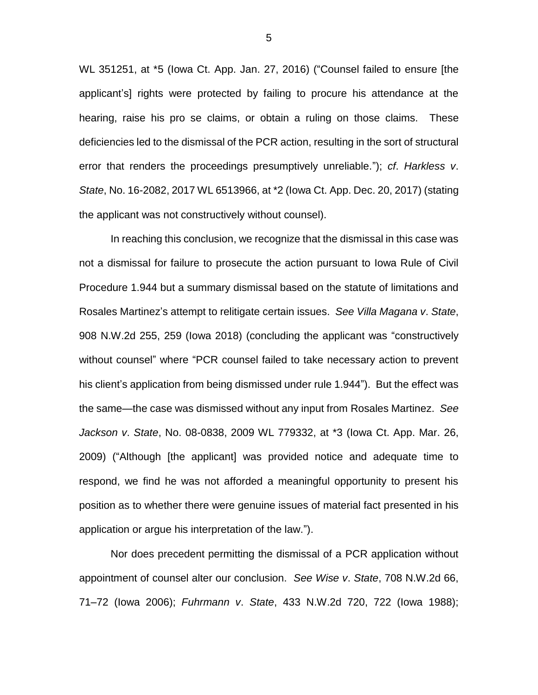WL 351251, at \*5 (Iowa Ct. App. Jan. 27, 2016) ("Counsel failed to ensure [the applicant's] rights were protected by failing to procure his attendance at the hearing, raise his pro se claims, or obtain a ruling on those claims. These deficiencies led to the dismissal of the PCR action, resulting in the sort of structural error that renders the proceedings presumptively unreliable."); *cf*. *Harkless v*. *State*, No. 16-2082, 2017 WL 6513966, at \*2 (Iowa Ct. App. Dec. 20, 2017) (stating the applicant was not constructively without counsel).

In reaching this conclusion, we recognize that the dismissal in this case was not a dismissal for failure to prosecute the action pursuant to Iowa Rule of Civil Procedure 1.944 but a summary dismissal based on the statute of limitations and Rosales Martinez's attempt to relitigate certain issues. *See Villa Magana v*. *State*, 908 N.W.2d 255, 259 (Iowa 2018) (concluding the applicant was "constructively without counsel" where "PCR counsel failed to take necessary action to prevent his client's application from being dismissed under rule 1.944"). But the effect was the same—the case was dismissed without any input from Rosales Martinez. *See Jackson v*. *State*, No. 08-0838, 2009 WL 779332, at \*3 (Iowa Ct. App. Mar. 26, 2009) ("Although [the applicant] was provided notice and adequate time to respond, we find he was not afforded a meaningful opportunity to present his position as to whether there were genuine issues of material fact presented in his application or argue his interpretation of the law.").

Nor does precedent permitting the dismissal of a PCR application without appointment of counsel alter our conclusion. *See Wise v*. *State*, 708 N.W.2d 66, 71–72 (Iowa 2006); *Fuhrmann v*. *State*, 433 N.W.2d 720, 722 (Iowa 1988);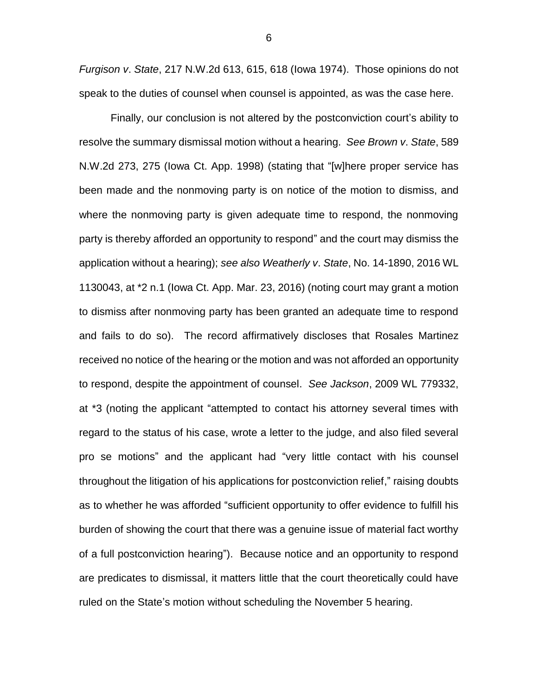*Furgison v*. *State*, 217 N.W.2d 613, 615, 618 (Iowa 1974). Those opinions do not speak to the duties of counsel when counsel is appointed, as was the case here.

Finally, our conclusion is not altered by the postconviction court's ability to resolve the summary dismissal motion without a hearing. *See Brown v*. *State*, 589 N.W.2d 273, 275 (Iowa Ct. App. 1998) (stating that "[w]here proper service has been made and the nonmoving party is on notice of the motion to dismiss, and where the nonmoving party is given adequate time to respond, the nonmoving party is thereby afforded an opportunity to respond" and the court may dismiss the application without a hearing); *see also Weatherly v*. *State*, No. 14-1890, 2016 WL 1130043, at \*2 n.1 (Iowa Ct. App. Mar. 23, 2016) (noting court may grant a motion to dismiss after nonmoving party has been granted an adequate time to respond and fails to do so). The record affirmatively discloses that Rosales Martinez received no notice of the hearing or the motion and was not afforded an opportunity to respond, despite the appointment of counsel. *See Jackson*, 2009 WL 779332, at \*3 (noting the applicant "attempted to contact his attorney several times with regard to the status of his case, wrote a letter to the judge, and also filed several pro se motions" and the applicant had "very little contact with his counsel throughout the litigation of his applications for postconviction relief," raising doubts as to whether he was afforded "sufficient opportunity to offer evidence to fulfill his burden of showing the court that there was a genuine issue of material fact worthy of a full postconviction hearing"). Because notice and an opportunity to respond are predicates to dismissal, it matters little that the court theoretically could have ruled on the State's motion without scheduling the November 5 hearing.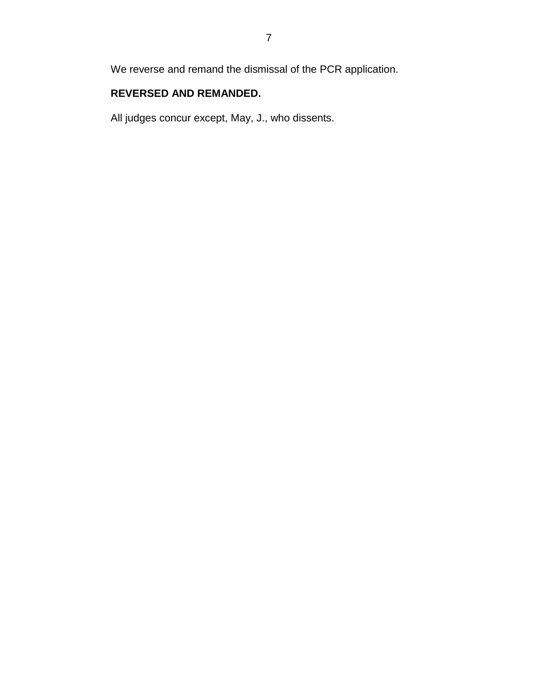We reverse and remand the dismissal of the PCR application.

# **REVERSED AND REMANDED.**

All judges concur except, May, J., who dissents.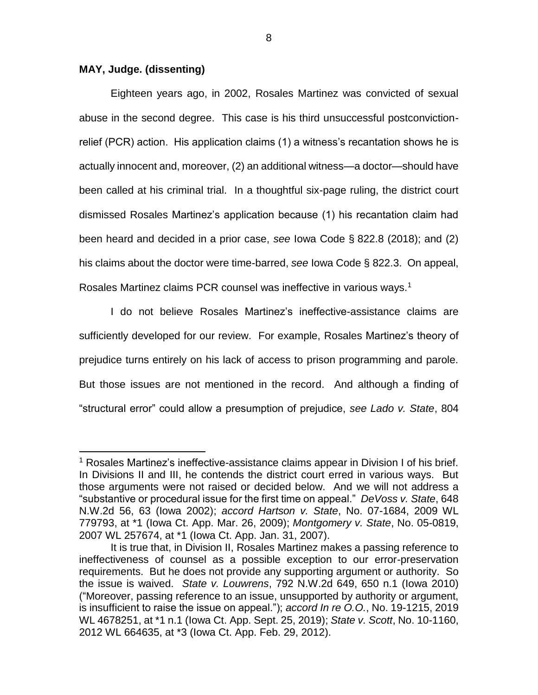### **MAY, Judge. (dissenting)**

 $\overline{a}$ 

Eighteen years ago, in 2002, Rosales Martinez was convicted of sexual abuse in the second degree. This case is his third unsuccessful postconvictionrelief (PCR) action. His application claims (1) a witness's recantation shows he is actually innocent and, moreover, (2) an additional witness—a doctor—should have been called at his criminal trial. In a thoughtful six-page ruling, the district court dismissed Rosales Martinez's application because (1) his recantation claim had been heard and decided in a prior case, *see* Iowa Code § 822.8 (2018); and (2) his claims about the doctor were time-barred, *see* Iowa Code § 822.3. On appeal, Rosales Martinez claims PCR counsel was ineffective in various ways.<sup>1</sup>

I do not believe Rosales Martinez's ineffective-assistance claims are sufficiently developed for our review. For example, Rosales Martinez's theory of prejudice turns entirely on his lack of access to prison programming and parole. But those issues are not mentioned in the record. And although a finding of "structural error" could allow a presumption of prejudice, *see Lado v. State*, 804

<sup>1</sup> Rosales Martinez's ineffective-assistance claims appear in Division I of his brief. In Divisions II and III, he contends the district court erred in various ways. But those arguments were not raised or decided below. And we will not address a "substantive or procedural issue for the first time on appeal." *DeVoss v. State*, 648 N.W.2d 56, 63 (Iowa 2002); *accord Hartson v. State*, No. 07-1684, 2009 WL 779793, at \*1 (Iowa Ct. App. Mar. 26, 2009); *Montgomery v. State*, No. 05-0819, 2007 WL 257674, at \*1 (Iowa Ct. App. Jan. 31, 2007).

It is true that, in Division II, Rosales Martinez makes a passing reference to ineffectiveness of counsel as a possible exception to our error-preservation requirements. But he does not provide any supporting argument or authority. So the issue is waived. *State v. Louwrens*, 792 N.W.2d 649, 650 n.1 (Iowa 2010) ("Moreover, passing reference to an issue, unsupported by authority or argument, is insufficient to raise the issue on appeal."); *accord In re O.O.*, No. 19-1215, 2019 WL 4678251, at \*1 n.1 (Iowa Ct. App. Sept. 25, 2019); *State v. Scott*, No. 10-1160, 2012 WL 664635, at \*3 (Iowa Ct. App. Feb. 29, 2012).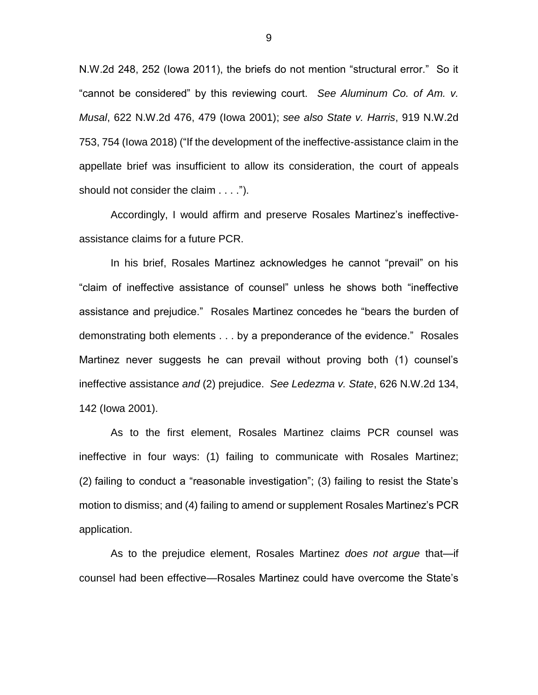N.W.2d 248, 252 (Iowa 2011), the briefs do not mention "structural error." So it "cannot be considered" by this reviewing court. *See Aluminum Co. of Am. v. Musal*, 622 N.W.2d 476, 479 (Iowa 2001); *see also State v. Harris*, 919 N.W.2d 753, 754 (Iowa 2018) ("If the development of the ineffective-assistance claim in the appellate brief was insufficient to allow its consideration, the court of appeals should not consider the claim . . . .").

Accordingly, I would affirm and preserve Rosales Martinez's ineffectiveassistance claims for a future PCR.

In his brief, Rosales Martinez acknowledges he cannot "prevail" on his "claim of ineffective assistance of counsel" unless he shows both "ineffective assistance and prejudice." Rosales Martinez concedes he "bears the burden of demonstrating both elements . . . by a preponderance of the evidence." Rosales Martinez never suggests he can prevail without proving both (1) counsel's ineffective assistance *and* (2) prejudice. *See Ledezma v. State*, 626 N.W.2d 134, 142 (Iowa 2001).

As to the first element, Rosales Martinez claims PCR counsel was ineffective in four ways: (1) failing to communicate with Rosales Martinez; (2) failing to conduct a "reasonable investigation"; (3) failing to resist the State's motion to dismiss; and (4) failing to amend or supplement Rosales Martinez's PCR application.

As to the prejudice element, Rosales Martinez *does not argue* that—if counsel had been effective—Rosales Martinez could have overcome the State's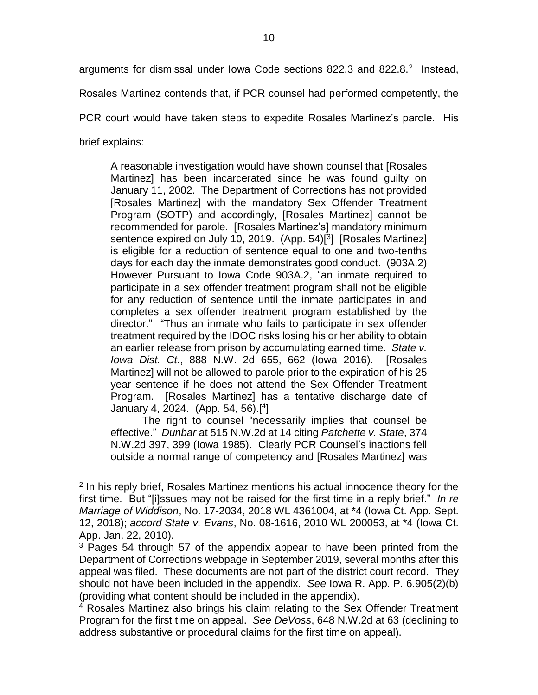arguments for dismissal under lowa Code sections 822.3 and 822.8. $2$  Instead,

Rosales Martinez contends that, if PCR counsel had performed competently, the

PCR court would have taken steps to expedite Rosales Martinez's parole. His

brief explains:

 $\overline{a}$ 

A reasonable investigation would have shown counsel that [Rosales Martinez] has been incarcerated since he was found guilty on January 11, 2002. The Department of Corrections has not provided [Rosales Martinez] with the mandatory Sex Offender Treatment Program (SOTP) and accordingly, [Rosales Martinez] cannot be recommended for parole. [Rosales Martinez's] mandatory minimum sentence expired on July 10, 2019. (App. 54)[<sup>3</sup>] [Rosales Martinez] is eligible for a reduction of sentence equal to one and two-tenths days for each day the inmate demonstrates good conduct. (903A.2) However Pursuant to Iowa Code 903A.2, "an inmate required to participate in a sex offender treatment program shall not be eligible for any reduction of sentence until the inmate participates in and completes a sex offender treatment program established by the director." "Thus an inmate who fails to participate in sex offender treatment required by the IDOC risks losing his or her ability to obtain an earlier release from prison by accumulating earned time. *State v. Iowa Dist. Ct.*, 888 N.W. 2d 655, 662 (Iowa 2016). [Rosales Martinez] will not be allowed to parole prior to the expiration of his 25 year sentence if he does not attend the Sex Offender Treatment Program. [Rosales Martinez] has a tentative discharge date of January 4, 2024. (App. 54, 56).[ 4 ]

The right to counsel "necessarily implies that counsel be effective." *Dunbar* at 515 N.W.2d at 14 citing *Patchette v. State*, 374 N.W.2d 397, 399 (Iowa 1985). Clearly PCR Counsel's inactions fell outside a normal range of competency and [Rosales Martinez] was

<sup>&</sup>lt;sup>2</sup> In his reply brief, Rosales Martinez mentions his actual innocence theory for the first time. But "[i]ssues may not be raised for the first time in a reply brief." *In re Marriage of Widdison*, No. 17-2034, 2018 WL 4361004, at \*4 (Iowa Ct. App. Sept. 12, 2018); *accord State v. Evans*, No. 08-1616, 2010 WL 200053, at \*4 (Iowa Ct. App. Jan. 22, 2010).

<sup>&</sup>lt;sup>3</sup> Pages 54 through 57 of the appendix appear to have been printed from the Department of Corrections webpage in September 2019, several months after this appeal was filed. These documents are not part of the district court record. They should not have been included in the appendix. *See* Iowa R. App. P. 6.905(2)(b) (providing what content should be included in the appendix).

<sup>4</sup> Rosales Martinez also brings his claim relating to the Sex Offender Treatment Program for the first time on appeal. *See DeVoss*, 648 N.W.2d at 63 (declining to address substantive or procedural claims for the first time on appeal).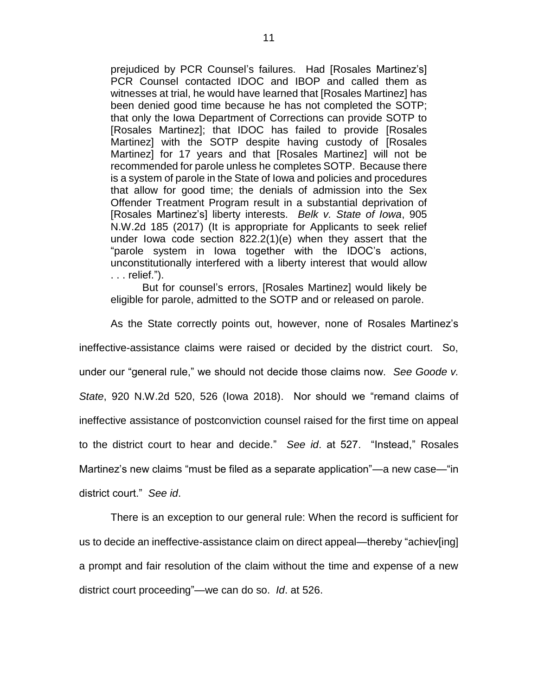prejudiced by PCR Counsel's failures. Had [Rosales Martinez's] PCR Counsel contacted IDOC and IBOP and called them as witnesses at trial, he would have learned that [Rosales Martinez] has been denied good time because he has not completed the SOTP; that only the Iowa Department of Corrections can provide SOTP to [Rosales Martinez]; that IDOC has failed to provide [Rosales Martinez] with the SOTP despite having custody of [Rosales Martinez] for 17 years and that [Rosales Martinez] will not be recommended for parole unless he completes SOTP. Because there is a system of parole in the State of Iowa and policies and procedures that allow for good time; the denials of admission into the Sex Offender Treatment Program result in a substantial deprivation of [Rosales Martinez's] liberty interests. *Belk v. State of Iowa*, 905 N.W.2d 185 (2017) (It is appropriate for Applicants to seek relief under Iowa code section 822.2(1)(e) when they assert that the "parole system in Iowa together with the IDOC's actions, unconstitutionally interfered with a liberty interest that would allow . . . relief.").

But for counsel's errors, [Rosales Martinez] would likely be eligible for parole, admitted to the SOTP and or released on parole.

As the State correctly points out, however, none of Rosales Martinez's ineffective-assistance claims were raised or decided by the district court. So, under our "general rule," we should not decide those claims now. *See Goode v. State*, 920 N.W.2d 520, 526 (Iowa 2018). Nor should we "remand claims of ineffective assistance of postconviction counsel raised for the first time on appeal to the district court to hear and decide." *See id*. at 527. "Instead," Rosales Martinez's new claims "must be filed as a separate application"—a new case—"in district court." *See id*.

There is an exception to our general rule: When the record is sufficient for us to decide an ineffective-assistance claim on direct appeal—thereby "achiev[ing] a prompt and fair resolution of the claim without the time and expense of a new district court proceeding"—we can do so. *Id*. at 526.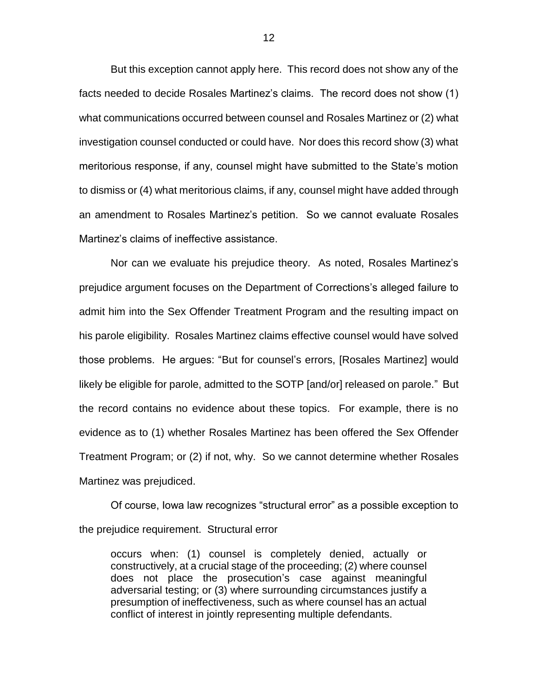But this exception cannot apply here. This record does not show any of the facts needed to decide Rosales Martinez's claims. The record does not show (1) what communications occurred between counsel and Rosales Martinez or (2) what investigation counsel conducted or could have. Nor does this record show (3) what meritorious response, if any, counsel might have submitted to the State's motion to dismiss or (4) what meritorious claims, if any, counsel might have added through an amendment to Rosales Martinez's petition. So we cannot evaluate Rosales Martinez's claims of ineffective assistance.

Nor can we evaluate his prejudice theory. As noted, Rosales Martinez's prejudice argument focuses on the Department of Corrections's alleged failure to admit him into the Sex Offender Treatment Program and the resulting impact on his parole eligibility. Rosales Martinez claims effective counsel would have solved those problems. He argues: "But for counsel's errors, [Rosales Martinez] would likely be eligible for parole, admitted to the SOTP [and/or] released on parole." But the record contains no evidence about these topics. For example, there is no evidence as to (1) whether Rosales Martinez has been offered the Sex Offender Treatment Program; or (2) if not, why. So we cannot determine whether Rosales Martinez was prejudiced.

Of course, Iowa law recognizes "structural error" as a possible exception to the prejudice requirement. Structural error

occurs when: (1) counsel is completely denied, actually or constructively, at a crucial stage of the proceeding; (2) where counsel does not place the prosecution's case against meaningful adversarial testing; or (3) where surrounding circumstances justify a presumption of ineffectiveness, such as where counsel has an actual conflict of interest in jointly representing multiple defendants.